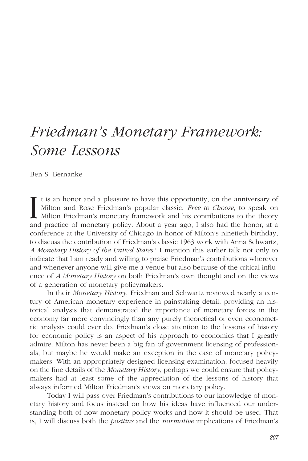## *Friedman's Monetary Framework: Some Lessons*

Ben S. Bernanke

t is an honor and a pleasure to have this opportunity, on the anniversary of Milton and Rose Friedman's popular classic, *Free to Choose*, to speak on Milton Friedman's monetary framework and his contributions to the theory and practice of monetary policy. About a year ago, I also had the honor, at a conference at the University of Chicago in honor of Milton's ninetieth birthday, to discuss the contribution of Friedman's classic 1963 work with Anna Schwartz, *A Monetary History of the United States*. <sup>1</sup> I mention this earlier talk not only to indicate that I am ready and willing to praise Friedman's contributions wherever and whenever anyone will give me a venue but also because of the critical influence of *A Monetary History* on both Friedman's own thought and on the views of a generation of monetary policymakers. I

In their *Monetary History*, Friedman and Schwartz reviewed nearly a century of American monetary experience in painstaking detail, providing an historical analysis that demonstrated the importance of monetary forces in the economy far more convincingly than any purely theoretical or even econometric analysis could ever do. Friedman's close attention to the lessons of history for economic policy is an aspect of his approach to economics that I greatly admire. Milton has never been a big fan of government licensing of professionals, but maybe he would make an exception in the case of monetary policymakers. With an appropriately designed licensing examination, focused heavily on the fine details of the *Monetary History*, perhaps we could ensure that policymakers had at least some of the appreciation of the lessons of history that always informed Milton Friedman's views on monetary policy.

Today I will pass over Friedman's contributions to our knowledge of monetary history and focus instead on how his ideas have influenced our understanding both of how monetary policy works and how it should be used. That is, I will discuss both the *positive* and the *normative* implications of Friedman's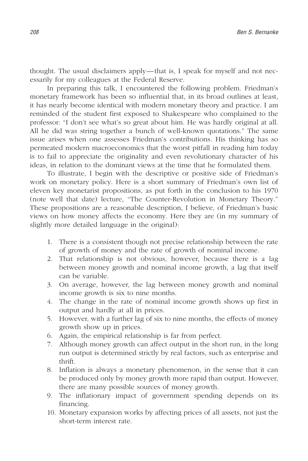thought. The usual disclaimers apply—that is, I speak for myself and not necessarily for my colleagues at the Federal Reserve.

In preparing this talk, I encountered the following problem. Friedman's monetary framework has been so influential that, in its broad outlines at least, it has nearly become identical with modern monetary theory and practice. I am reminded of the student first exposed to Shakespeare who complained to the professor: "I don't see what's so great about him. He was hardly original at all. All he did was string together a bunch of well-known quotations." The same issue arises when one assesses Friedman's contributions. His thinking has so permeated modern macroeconomics that the worst pitfall in reading him today is to fail to appreciate the originality and even revolutionary character of his ideas, in relation to the dominant views at the time that he formulated them.

To illustrate, I begin with the descriptive or positive side of Friedman's work on monetary policy. Here is a short summary of Friedman's own list of eleven key monetarist propositions, as put forth in the conclusion to his 1970 (note well that date) lecture, "The Counter-Revolution in Monetary Theory." These propositions are a reasonable description, I believe, of Friedman's basic views on how money affects the economy. Here they are (in my summary of slightly more detailed language in the original):

- 1. There is a consistent though not precise relationship between the rate of growth of money and the rate of growth of nominal income.
- 2. That relationship is not obvious, however, because there is a lag between money growth and nominal income growth, a lag that itself can be variable.
- 3. On average, however, the lag between money growth and nominal income growth is six to nine months.
- 4. The change in the rate of nominal income growth shows up first in output and hardly at all in prices.
- 5. However, with a further lag of six to nine months, the effects of money growth show up in prices.
- 6. Again, the empirical relationship is far from perfect.
- 7. Although money growth can affect output in the short run, in the long run output is determined strictly by real factors, such as enterprise and thrift.
- 8. Inflation is always a monetary phenomenon, in the sense that it can be produced only by money growth more rapid than output. However, there are many possible sources of money growth.
- 9. The inflationary impact of government spending depends on its financing.
- 10. Monetary expansion works by affecting prices of all assets, not just the short-term interest rate.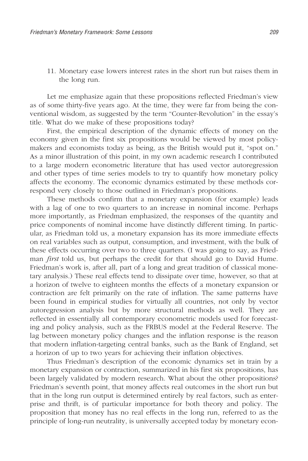11. Monetary ease lowers interest rates in the short run but raises them in the long run.

Let me emphasize again that these propositions reflected Friedman's view as of some thirty-five years ago. At the time, they were far from being the conventional wisdom, as suggested by the term "Counter-Revolution" in the essay's title. What do we make of these propositions today?

First, the empirical description of the dynamic effects of money on the economy given in the first six propositions would be viewed by most policymakers and economists today as being, as the British would put it, "spot on." As a minor illustration of this point, in my own academic research I contributed to a large modern econometric literature that has used vector autoregression and other types of time series models to try to quantify how monetary policy affects the economy. The economic dynamics estimated by these methods correspond very closely to those outlined in Friedman's propositions.

These methods confirm that a monetary expansion (for example) leads with a lag of one to two quarters to an increase in nominal income. Perhaps more importantly, as Friedman emphasized, the responses of the quantity and price components of nominal income have distinctly different timing. In particular, as Friedman told us, a monetary expansion has its more immediate effects on real variables such as output, consumption, and investment, with the bulk of these effects occurring over two to three quarters. (I was going to say, as Friedman *first* told us, but perhaps the credit for that should go to David Hume. Friedman's work is, after all, part of a long and great tradition of classical monetary analysis.) These real effects tend to dissipate over time, however, so that at a horizon of twelve to eighteen months the effects of a monetary expansion or contraction are felt primarily on the rate of inflation. The same patterns have been found in empirical studies for virtually all countries, not only by vector autoregression analysis but by more structural methods as well. They are reflected in essentially all contemporary econometric models used for forecasting and policy analysis, such as the FRBUS model at the Federal Reserve. The lag between monetary policy changes and the inflation response is the reason that modern inflation-targeting central banks, such as the Bank of England, set a horizon of up to two years for achieving their inflation objectives.

Thus Friedman's description of the economic dynamics set in train by a monetary expansion or contraction, summarized in his first six propositions, has been largely validated by modern research. What about the other propositions? Friedman's seventh point, that money affects real outcomes in the short run but that in the long run output is determined entirely by real factors, such as enterprise and thrift, is of particular importance for both theory and policy. The proposition that money has no real effects in the long run, referred to as the principle of long-run neutrality, is universally accepted today by monetary econ-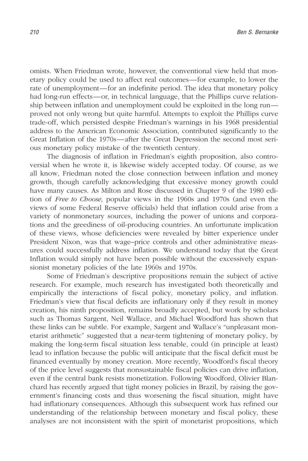omists. When Friedman wrote, however, the conventional view held that monetary policy could be used to affect real outcomes—for example, to lower the rate of unemployment—for an indefinite period. The idea that monetary policy had long-run effects—or, in technical language, that the Phillips curve relationship between inflation and unemployment could be exploited in the long run proved not only wrong but quite harmful. Attempts to exploit the Phillips curve trade-off, which persisted despite Friedman's warnings in his 1968 presidential address to the American Economic Association, contributed significantly to the Great Inflation of the 1970s—after the Great Depression the second most serious monetary policy mistake of the twentieth century.

The diagnosis of inflation in Friedman's eighth proposition, also controversial when he wrote it, is likewise widely accepted today. Of course, as we all know, Friedman noted the close connection between inflation and money growth, though carefully acknowledging that excessive money growth could have many causes. As Milton and Rose discussed in Chapter 9 of the 1980 edition of *Free to Choose*, popular views in the 1960s and 1970s (and even the views of some Federal Reserve officials) held that inflation could arise from a variety of nonmonetary sources, including the power of unions and corporations and the greediness of oil-producing countries. An unfortunate implication of these views, whose deficiencies were revealed by bitter experience under President Nixon, was that wage–price controls and other administrative measures could successfully address inflation. We understand today that the Great Inflation would simply not have been possible without the excessively expansionist monetary policies of the late 1960s and 1970s.

Some of Friedman's descriptive propositions remain the subject of active research. For example, much research has investigated both theoretically and empirically the interactions of fiscal policy, monetary policy, and inflation. Friedman's view that fiscal deficits are inflationary only if they result in money creation, his ninth proposition, remains broadly accepted, but work by scholars such as Thomas Sargent, Neil Wallace, and Michael Woodford has shown that these links can be subtle. For example, Sargent and Wallace's "unpleasant monetarist arithmetic" suggested that a near-term tightening of monetary policy, by making the long-term fiscal situation less tenable, could (in principle at least) lead to inflation because the public will anticipate that the fiscal deficit must be financed eventually by money creation. More recently, Woodford's fiscal theory of the price level suggests that nonsustainable fiscal policies can drive inflation, even if the central bank resists monetization. Following Woodford, Olivier Blanchard has recently argued that tight money policies in Brazil, by raising the government's financing costs and thus worsening the fiscal situation, might have had inflationary consequences. Although this subsequent work has refined our understanding of the relationship between monetary and fiscal policy, these analyses are not inconsistent with the spirit of monetarist propositions, which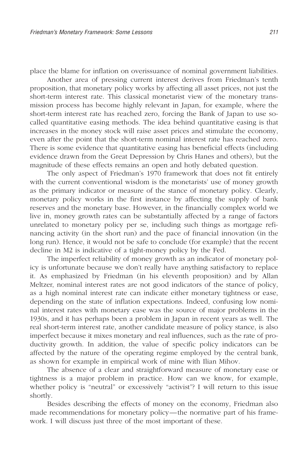place the blame for inflation on overissuance of nominal government liabilities.

Another area of pressing current interest derives from Friedman's tenth proposition, that monetary policy works by affecting all asset prices, not just the short-term interest rate. This classical monetarist view of the monetary transmission process has become highly relevant in Japan, for example, where the short-term interest rate has reached zero, forcing the Bank of Japan to use socalled quantitative easing methods. The idea behind quantitative easing is that increases in the money stock will raise asset prices and stimulate the economy, even after the point that the short-term nominal interest rate has reached zero. There is some evidence that quantitative easing has beneficial effects (including evidence drawn from the Great Depression by Chris Hanes and others), but the magnitude of these effects remains an open and hotly debated question.

The only aspect of Friedman's 1970 framework that does not fit entirely with the current conventional wisdom is the monetarists' use of money growth as the primary indicator or measure of the stance of monetary policy. Clearly, monetary policy works in the first instance by affecting the supply of bank reserves and the monetary base. However, in the financially complex world we live in, money growth rates can be substantially affected by a range of factors unrelated to monetary policy per se, including such things as mortgage refinancing activity (in the short run) and the pace of financial innovation (in the long run). Hence, it would not be safe to conclude (for example) that the recent decline in M2 is indicative of a tight-money policy by the Fed.

The imperfect reliability of money growth as an indicator of monetary policy is unfortunate because we don't really have anything satisfactory to replace it. As emphasized by Friedman (in his eleventh proposition) and by Allan Meltzer, nominal interest rates are not good indicators of the stance of policy, as a high nominal interest rate can indicate either monetary tightness or ease, depending on the state of inflation expectations. Indeed, confusing low nominal interest rates with monetary ease was the source of major problems in the 1930s, and it has perhaps been a problem in Japan in recent years as well. The real short-term interest rate, another candidate measure of policy stance, is also imperfect because it mixes monetary and real influences, such as the rate of productivity growth. In addition, the value of specific policy indicators can be affected by the nature of the operating regime employed by the central bank, as shown for example in empirical work of mine with Ilian Mihov.

The absence of a clear and straightforward measure of monetary ease or tightness is a major problem in practice. How can we know, for example, whether policy is "neutral" or excessively "activist"? I will return to this issue shortly.

Besides describing the effects of money on the economy, Friedman also made recommendations for monetary policy—the normative part of his framework. I will discuss just three of the most important of these.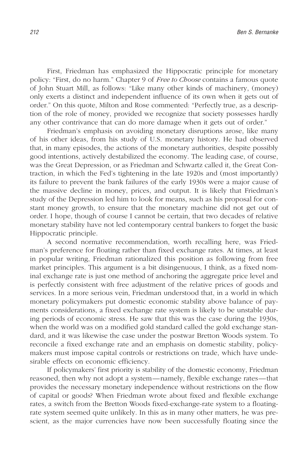First, Friedman has emphasized the Hippocratic principle for monetary policy: "First, do no harm." Chapter 9 of *Free to Choose* contains a famous quote of John Stuart Mill, as follows: "Like many other kinds of machinery, (money) only exerts a distinct and independent influence of its own when it gets out of order." On this quote, Milton and Rose commented: "Perfectly true, as a description of the role of money, provided we recognize that society possesses hardly any other contrivance that can do more damage when it gets out of order."

Friedman's emphasis on avoiding monetary disruptions arose, like many of his other ideas, from his study of U.S. monetary history. He had observed that, in many episodes, the actions of the monetary authorities, despite possibly good intentions, actively destabilized the economy. The leading case, of course, was the Great Depression, or as Friedman and Schwartz called it, the Great Contraction, in which the Fed's tightening in the late 1920s and (most importantly) its failure to prevent the bank failures of the early 1930s were a major cause of the massive decline in money, prices, and output. It is likely that Friedman's study of the Depression led him to look for means, such as his proposal for constant money growth, to ensure that the monetary machine did not get out of order. I hope, though of course I cannot be certain, that two decades of relative monetary stability have not led contemporary central bankers to forget the basic Hippocratic principle.

A second normative recommendation, worth recalling here, was Friedman's preference for floating rather than fixed exchange rates. At times, at least in popular writing, Friedman rationalized this position as following from free market principles. This argument is a bit disingenuous, I think, as a fixed nominal exchange rate is just one method of anchoring the aggregate price level and is perfectly consistent with free adjustment of the relative prices of goods and services. In a more serious vein, Friedman understood that, in a world in which monetary policymakers put domestic economic stability above balance of payments considerations, a fixed exchange rate system is likely to be unstable during periods of economic stress. He saw that this was the case during the 1930s, when the world was on a modified gold standard called the gold exchange standard, and it was likewise the case under the postwar Bretton Woods system. To reconcile a fixed exchange rate and an emphasis on domestic stability, policymakers must impose capital controls or restrictions on trade, which have undesirable effects on economic efficiency.

If policymakers' first priority is stability of the domestic economy, Friedman reasoned, then why not adopt a system—namely, flexible exchange rates—that provides the necessary monetary independence without restrictions on the flow of capital or goods? When Friedman wrote about fixed and flexible exchange rates, a switch from the Bretton Woods fixed-exchange-rate system to a floatingrate system seemed quite unlikely. In this as in many other matters, he was prescient, as the major currencies have now been successfully floating since the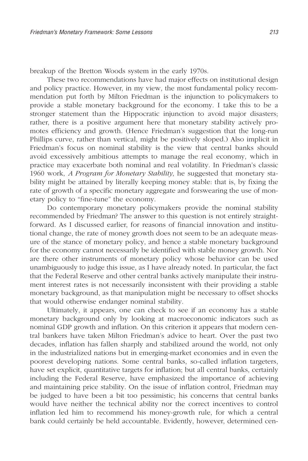breakup of the Bretton Woods system in the early 1970s.

These two recommendations have had major effects on institutional design and policy practice. However, in my view, the most fundamental policy recommendation put forth by Milton Friedman is the injunction to policymakers to provide a stable monetary background for the economy. I take this to be a stronger statement than the Hippocratic injunction to avoid major disasters; rather, there is a positive argument here that monetary stability actively promotes efficiency and growth. (Hence Friedman's suggestion that the long-run Phillips curve, rather than vertical, might be positively sloped.) Also implicit in Friedman's focus on nominal stability is the view that central banks should avoid excessively ambitious attempts to manage the real economy, which in practice may exacerbate both nominal and real volatility. In Friedman's classic 1960 work, *A Program for Monetary Stability*, he suggested that monetary stability might be attained by literally keeping money stable: that is, by fixing the rate of growth of a specific monetary aggregate and forswearing the use of monetary policy to "fine-tune" the economy.

Do contemporary monetary policymakers provide the nominal stability recommended by Friedman? The answer to this question is not entirely straightforward. As I discussed earlier, for reasons of financial innovation and institutional change, the rate of money growth does not seem to be an adequate measure of the stance of monetary policy, and hence a stable monetary background for the economy cannot necessarily be identified with stable money growth. Nor are there other instruments of monetary policy whose behavior can be used unambiguously to judge this issue, as I have already noted. In particular, the fact that the Federal Reserve and other central banks actively manipulate their instrument interest rates is not necessarily inconsistent with their providing a stable monetary background, as that manipulation might be necessary to offset shocks that would otherwise endanger nominal stability.

Ultimately, it appears, one can check to see if an economy has a stable monetary background only by looking at macroeconomic indicators such as nominal GDP growth and inflation. On this criterion it appears that modern central bankers have taken Milton Friedman's advice to heart. Over the past two decades, inflation has fallen sharply and stabilized around the world, not only in the industrialized nations but in emerging-market economies and in even the poorest developing nations. Some central banks, so-called inflation targeters, have set explicit, quantitative targets for inflation; but all central banks, certainly including the Federal Reserve, have emphasized the importance of achieving and maintaining price stability. On the issue of inflation control, Friedman may be judged to have been a bit too pessimistic; his concerns that central banks would have neither the technical ability nor the correct incentives to control inflation led him to recommend his money-growth rule, for which a central bank could certainly be held accountable. Evidently, however, determined cen